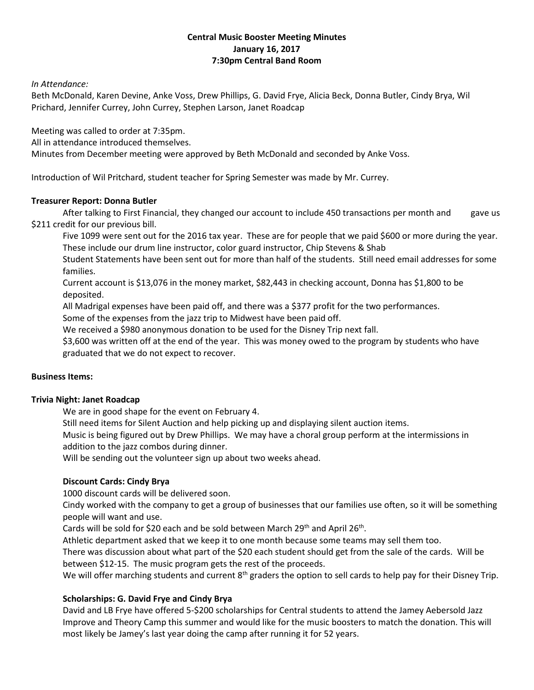## **Central Music Booster Meeting Minutes January 16, 2017 7:30pm Central Band Room**

## *In Attendance:*

Beth McDonald, Karen Devine, Anke Voss, Drew Phillips, G. David Frye, Alicia Beck, Donna Butler, Cindy Brya, Wil Prichard, Jennifer Currey, John Currey, Stephen Larson, Janet Roadcap

Meeting was called to order at 7:35pm.

All in attendance introduced themselves.

Minutes from December meeting were approved by Beth McDonald and seconded by Anke Voss.

Introduction of Wil Pritchard, student teacher for Spring Semester was made by Mr. Currey.

#### **Treasurer Report: Donna Butler**

After talking to First Financial, they changed our account to include 450 transactions per month and gave us \$211 credit for our previous bill.

Five 1099 were sent out for the 2016 tax year. These are for people that we paid \$600 or more during the year. These include our drum line instructor, color guard instructor, Chip Stevens & Shab

Student Statements have been sent out for more than half of the students. Still need email addresses for some families.

Current account is \$13,076 in the money market, \$82,443 in checking account, Donna has \$1,800 to be deposited.

All Madrigal expenses have been paid off, and there was a \$377 profit for the two performances.

Some of the expenses from the jazz trip to Midwest have been paid off.

We received a \$980 anonymous donation to be used for the Disney Trip next fall.

\$3,600 was written off at the end of the year. This was money owed to the program by students who have graduated that we do not expect to recover.

## **Business Items:**

#### **Trivia Night: Janet Roadcap**

We are in good shape for the event on February 4.

Still need items for Silent Auction and help picking up and displaying silent auction items.

Music is being figured out by Drew Phillips. We may have a choral group perform at the intermissions in addition to the jazz combos during dinner.

Will be sending out the volunteer sign up about two weeks ahead.

## **Discount Cards: Cindy Brya**

1000 discount cards will be delivered soon.

Cindy worked with the company to get a group of businesses that our families use often, so it will be something people will want and use.

Cards will be sold for \$20 each and be sold between March 29<sup>th</sup> and April 26<sup>th</sup>.

Athletic department asked that we keep it to one month because some teams may sell them too.

There was discussion about what part of the \$20 each student should get from the sale of the cards. Will be between \$12-15. The music program gets the rest of the proceeds.

We will offer marching students and current  $8<sup>th</sup>$  graders the option to sell cards to help pay for their Disney Trip.

## **Scholarships: G. David Frye and Cindy Brya**

David and LB Frye have offered 5-\$200 scholarships for Central students to attend the Jamey Aebersold Jazz Improve and Theory Camp this summer and would like for the music boosters to match the donation. This will most likely be Jamey's last year doing the camp after running it for 52 years.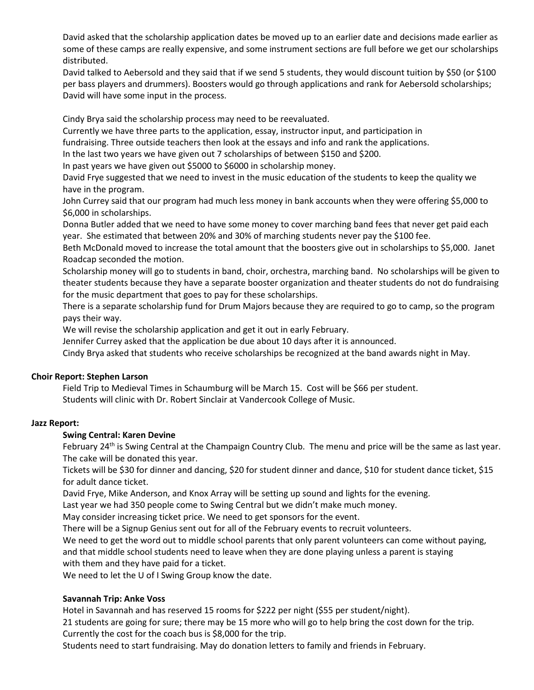David asked that the scholarship application dates be moved up to an earlier date and decisions made earlier as some of these camps are really expensive, and some instrument sections are full before we get our scholarships distributed.

David talked to Aebersold and they said that if we send 5 students, they would discount tuition by \$50 (or \$100 per bass players and drummers). Boosters would go through applications and rank for Aebersold scholarships; David will have some input in the process.

Cindy Brya said the scholarship process may need to be reevaluated.

Currently we have three parts to the application, essay, instructor input, and participation in

fundraising. Three outside teachers then look at the essays and info and rank the applications.

In the last two years we have given out 7 scholarships of between \$150 and \$200.

In past years we have given out \$5000 to \$6000 in scholarship money.

David Frye suggested that we need to invest in the music education of the students to keep the quality we have in the program.

John Currey said that our program had much less money in bank accounts when they were offering \$5,000 to \$6,000 in scholarships.

Donna Butler added that we need to have some money to cover marching band fees that never get paid each year. She estimated that between 20% and 30% of marching students never pay the \$100 fee.

Beth McDonald moved to increase the total amount that the boosters give out in scholarships to \$5,000. Janet Roadcap seconded the motion.

Scholarship money will go to students in band, choir, orchestra, marching band. No scholarships will be given to theater students because they have a separate booster organization and theater students do not do fundraising for the music department that goes to pay for these scholarships.

There is a separate scholarship fund for Drum Majors because they are required to go to camp, so the program pays their way.

We will revise the scholarship application and get it out in early February.

Jennifer Currey asked that the application be due about 10 days after it is announced.

Cindy Brya asked that students who receive scholarships be recognized at the band awards night in May.

## **Choir Report: Stephen Larson**

Field Trip to Medieval Times in Schaumburg will be March 15. Cost will be \$66 per student. Students will clinic with Dr. Robert Sinclair at Vandercook College of Music.

## **Jazz Report:**

## **Swing Central: Karen Devine**

February 24<sup>th</sup> is Swing Central at the Champaign Country Club. The menu and price will be the same as last year. The cake will be donated this year.

Tickets will be \$30 for dinner and dancing, \$20 for student dinner and dance, \$10 for student dance ticket, \$15 for adult dance ticket.

David Frye, Mike Anderson, and Knox Array will be setting up sound and lights for the evening.

Last year we had 350 people come to Swing Central but we didn't make much money.

May consider increasing ticket price. We need to get sponsors for the event.

There will be a Signup Genius sent out for all of the February events to recruit volunteers.

We need to get the word out to middle school parents that only parent volunteers can come without paying,

and that middle school students need to leave when they are done playing unless a parent is staying with them and they have paid for a ticket.

We need to let the U of I Swing Group know the date.

## **Savannah Trip: Anke Voss**

Hotel in Savannah and has reserved 15 rooms for \$222 per night (\$55 per student/night).

21 students are going for sure; there may be 15 more who will go to help bring the cost down for the trip. Currently the cost for the coach bus is \$8,000 for the trip.

Students need to start fundraising. May do donation letters to family and friends in February.